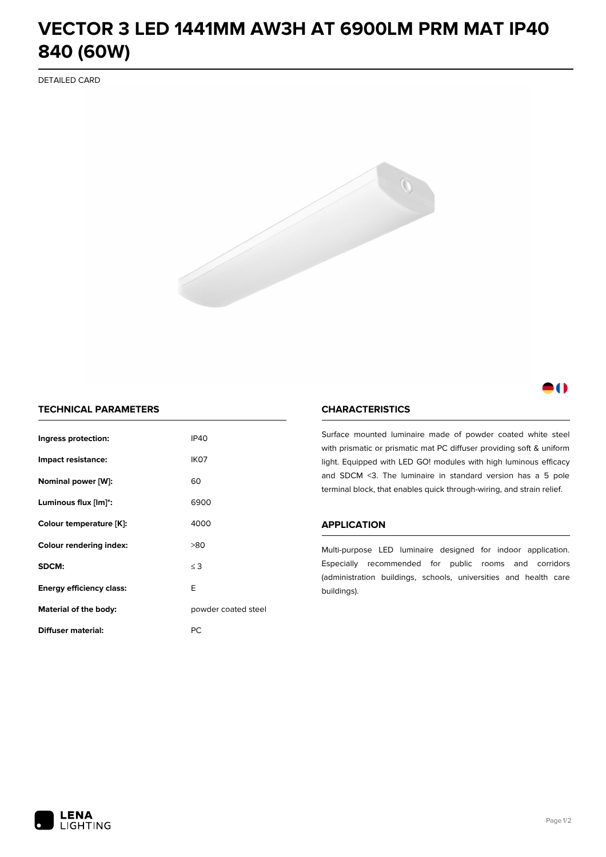# **VECTOR 3 LED 1441MM AW3H AT 6900LM PRM MAT IP40 840 (60W)**

DETAILED CARD



## M

### **TECHNICAL PARAMETERS**

| Ingress protection:                  | <b>IP40</b>         |  |
|--------------------------------------|---------------------|--|
| Impact resistance:                   | IK <sub>07</sub>    |  |
| Nominal power [W]:                   | 60                  |  |
| Luminous flux [lm]*:                 | 6900                |  |
| Colour temperature [K]:              | 4000                |  |
| <b>Colour rendering index:</b>       | >80                 |  |
| SDCM:                                | $\leq$ 3            |  |
| E<br><b>Energy efficiency class:</b> |                     |  |
| Material of the body:                | powder coated steel |  |
| Diffuser material:                   | РC                  |  |

#### **CHARACTERISTICS**

Surface mounted luminaire made of powder coated white steel with prismatic or prismatic mat PC diffuser providing soft & uniform light. Equipped with LED GO! modules with high luminous efficacy and SDCM <3. The luminaire in standard version has a 5 pole terminal block, that enables quick through-wiring, and strain relief.

#### **APPLICATION**

Multi-purpose LED luminaire designed for indoor application. Especially recommended for public rooms and corridors (administration buildings, schools, universities and health care buildings).